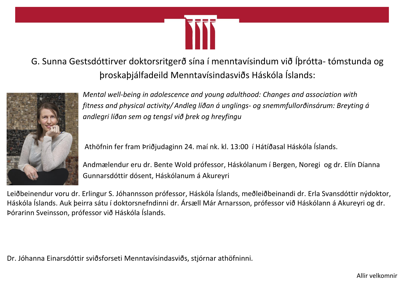

G. Sunna Gestsdóttirver doktorsritgerð sína í menntavísindum við Íþrótta- tómstunda og þroskaþjálfadeild Menntavísindasviðs Háskóla Íslands:



*Mental well-being in adolescence and young adulthood: Changes and association with fitness and physical activity/ Andleg líðan á unglings- og snemmfullorðinsárum: Breyting á andlegri líðan sem og tengsl við þrek og hreyfingu*

Athöfnin fer fram Þriðjudaginn 24. maí nk. kl. 13:00 í Hátíðasal Háskóla Íslands.

Andmælendur eru dr. Bente Wold prófessor, Háskólanum í Bergen, Noregi og dr. Elín Díanna Gunnarsdóttir dósent, Háskólanum á Akureyri

Leiðbeinendur voru dr. Erlingur S. Jóhannsson prófessor, Háskóla Íslands, meðleiðbeinandi dr. Erla Svansdóttir nýdoktor, Háskóla Íslands. Auk þeirra sátu í doktorsnefndinni dr. Ársæll Már Arnarsson, prófessor við Háskólann á Akureyri og dr. Þórarinn Sveinsson, prófessor við Háskóla Íslands.

Dr. Jóhanna Einarsdóttir sviðsforseti Menntavísindasviðs, stjórnar athöfninni*.*